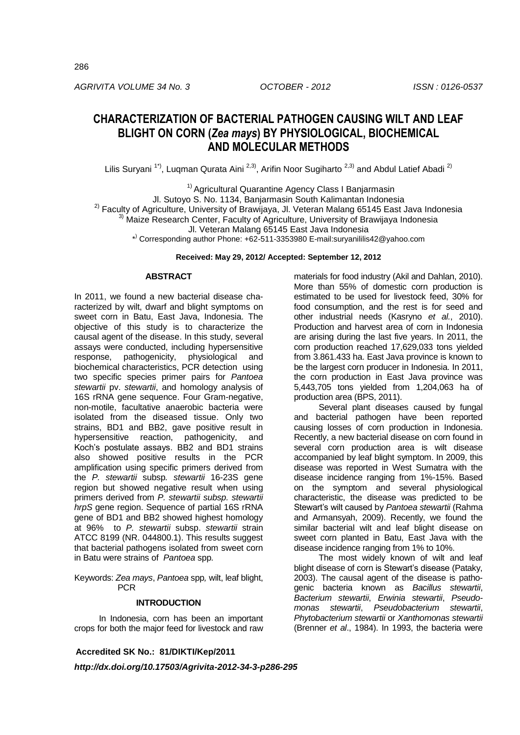*AGRIVITA VOLUME 34 No. 3 OCTOBER - 2012 ISSN : 0126-0537*

# **CHARACTERIZATION OF BACTERIAL PATHOGEN CAUSING WILT AND LEAF BLIGHT ON CORN (***Zea mays***) BY PHYSIOLOGICAL, BIOCHEMICAL AND MOLECULAR METHODS**

Lilis Suryani<sup>1\*)</sup>, Luqman Qurata Aini<sup>2,3)</sup>, Arifin Noor Sugiharto<sup>2,3)</sup> and Abdul Latief Abadi<sup>2)</sup>

<sup>1)</sup> Agricultural Quarantine Agency Class I Banjarmasin Jl. Sutoyo S. No. 1134, Banjarmasin South Kalimantan Indonesia <sup>2)</sup> Faculty of Agriculture, University of Brawijaya, Jl. Veteran Malang 65145 East Java Indonesia <sup>3)</sup> Maize Research Center, Faculty of Agriculture, University of Brawijaya Indonesia Jl. Veteran Malang 65145 East Java Indonesia \* ) Corresponding author Phone: +62-511-3353980 E-mail:suryanililis42@yahoo.com

**Received: May 29, 2012/ Accepted: September 12, 2012**

## **ABSTRACT**

In 2011, we found a new bacterial disease characterized by wilt, dwarf and blight symptoms on sweet corn in Batu, East Java, Indonesia. The objective of this study is to characterize the causal agent of the disease. In this study, several assays were conducted, including hypersensitive response, pathogenicity, physiological and biochemical characteristics, PCR detection using two specific species primer pairs for *Pantoea stewartii* pv. *stewartii*, and homology analysis of 16S rRNA gene sequence. Four Gram-negative, non-motile, facultative anaerobic bacteria were isolated from the diseased tissue. Only two strains, BD1 and BB2, gave positive result in hypersensitive reaction, pathogenicity, and Koch's postulate assays. BB2 and BD1 strains also showed positive results in the PCR amplification using specific primers derived from the *P. stewartii* subsp*. stewartii* 16-23S gene region but showed negative result when using primers derived from *P. stewartii subsp. stewartii hrpS* gene region. Sequence of partial 16S rRNA gene of BD1 and BB2 showed highest homology at 96% to *P. stewartii* subsp. *stewartii* strain ATCC 8199 (NR. 044800.1). This results suggest that bacterial pathogens isolated from sweet corn in Batu were strains of *Pantoea* spp*.* 

Keywords: *Zea mays*, *Pantoea* spp*,* wilt, leaf blight, **PCR** 

#### **INTRODUCTION**

In Indonesia, corn has been an important crops for both the major feed for livestock and raw

**Accredited SK No.: 81/DIKTI/Kep/2011**

*http://dx.doi.org/10.17503/Agrivita-2012-34-3-p286-295*

materials for food industry (Akil and Dahlan, 2010). More than 55% of domestic corn production is estimated to be used for livestock feed, 30% for food consumption, and the rest is for seed and other industrial needs (Kasryno *et al.*, 2010). Production and harvest area of corn in Indonesia are arising during the last five years. In 2011, the corn production reached 17,629,033 tons yielded from 3.861.433 ha. East Java province is known to be the largest corn producer in Indonesia. In 2011, the corn production in East Java province was 5,443,705 tons yielded from 1,204,063 ha of production area (BPS, 2011).

Several plant diseases caused by fungal and bacterial pathogen have been reported causing losses of corn production in Indonesia. Recently, a new bacterial disease on corn found in several corn production area is wilt disease accompanied by leaf blight symptom. In 2009, this disease was reported in West Sumatra with the disease incidence ranging from 1%-15%. Based on the symptom and several physiological characteristic, the disease was predicted to be Stewart's wilt caused by *Pantoea stewartii* (Rahma and Armansyah, 2009). Recently, we found the similar bacterial wilt and leaf blight disease on sweet corn planted in Batu, East Java with the disease incidence ranging from 1% to 10%.

The most widely known of wilt and leaf blight disease of corn is Stewart's disease (Pataky, 2003). The causal agent of the disease is pathogenic bacteria known as *Bacillus stewartii*, *Bacterium stewartii*, *Erwinia stewartii*, *Pseudomonas stewartii*, *Pseudobacterium stewartii*, *Phytobacterium stewartii* or *Xanthomonas stewartii*  (Brenner *et al*., 1984). In 1993, the bacteria were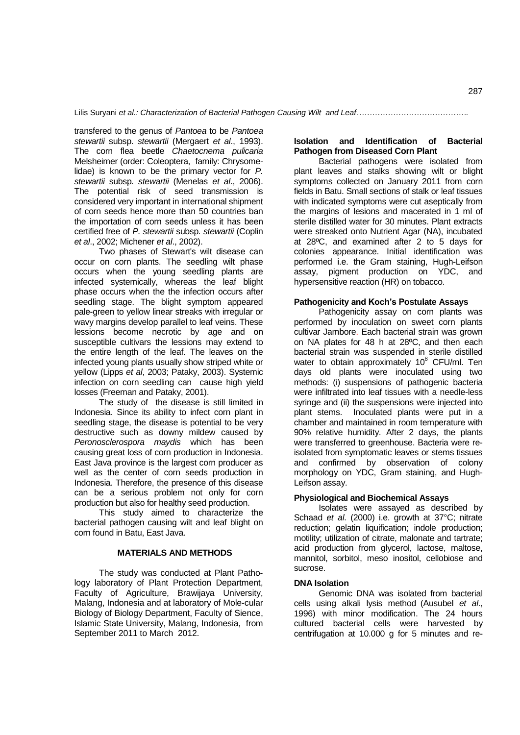transfered to the genus of *Pantoea* to be *Pantoea stewartii* subsp. *stewartii* (Mergaert *et al*., 1993). The corn flea beetle *Chaetocnema pulicaria*  Melsheimer (order: Coleoptera, family: Chrysomelidae) is known to be the primary vector for *P. stewartii* subsp*. stewartii* (Menelas *et al*., 2006). The potential risk of seed transmission is considered very important in international shipment of corn seeds hence more than 50 countries ban the importation of corn seeds unless it has been certified free of *P. stewartii* subsp*. stewartii* (Coplin *et al*., 2002; Michener *et al*., 2002).

Two phases of Stewart's wilt disease can occur on corn plants. The seedling wilt phase occurs when the young seedling plants are infected systemically, whereas the leaf blight phase occurs when the the infection occurs after seedling stage. The blight symptom appeared pale-green to yellow linear streaks with irregular or wavy margins develop parallel to leaf veins. These lessions become necrotic by age and on susceptible cultivars the lessions may extend to the entire length of the leaf. The leaves on the infected young plants usually show striped white or yellow (Lipps *et al*, 2003; Pataky, 2003). Systemic infection on corn seedling can cause high yield losses (Freeman and Pataky, 2001).

The study of the disease is still limited in Indonesia. Since its ability to infect corn plant in seedling stage, the disease is potential to be very destructive such as downy mildew caused by *Peronosclerospora maydis* which has been causing great loss of corn production in Indonesia. East Java province is the largest corn producer as well as the center of corn seeds production in Indonesia. Therefore, the presence of this disease can be a serious problem not only for corn production but also for healthy seed production.

This study aimed to characterize the bacterial pathogen causing wilt and leaf blight on corn found in Batu, East Java.

## **MATERIALS AND METHODS**

The study was conducted at Plant Pathology laboratory of Plant Protection Department, Faculty of Agriculture, Brawijaya University, Malang, Indonesia and at laboratory of Mole-cular Biology of Biology Department, Faculty of Sience, Islamic State University, Malang, Indonesia, from September 2011 to March 2012.

# **Isolation and Identification of Bacterial Pathogen from Diseased Corn Plant**

Bacterial pathogens were isolated from plant leaves and stalks showing wilt or blight symptoms collected on January 2011 from corn fields in Batu. Small sections of stalk or leaf tissues with indicated symptoms were cut aseptically from the margins of lesions and macerated in 1 ml of sterile distilled water for 30 minutes. Plant extracts were streaked onto Nutrient Agar (NA), incubated at 28ºC, and examined after 2 to 5 days for colonies appearance. Initial identification was performed i.e. the Gram staining, Hugh-Leifson assay, pigment production on YDC, and hypersensitive reaction (HR) on tobacco.

## **Pathogenicity and Koch's Postulate Assays**

Pathogenicity assay on corn plants was performed by inoculation on sweet corn plants cultivar Jambore. Each bacterial strain was grown on NA plates for 48 h at 28ºC, and then each bacterial strain was suspended in sterile distilled water to obtain approximately  $10^8$  CFU/ml. Ten days old plants were inoculated using two methods: (i) suspensions of pathogenic bacteria were infiltrated into leaf tissues with a needle-less syringe and (ii) the suspensions were injected into plant stems. Inoculated plants were put in a chamber and maintained in room temperature with 90% relative humidity. After 2 days, the plants were transferred to greenhouse. Bacteria were reisolated from symptomatic leaves or stems tissues and confirmed by observation of colony morphology on YDC, Gram staining, and Hugh-Leifson assay.

## **Physiological and Biochemical Assays**

Isolates were assayed as described by Schaad *et al*. (2000) i.e. growth at 37°C; nitrate reduction; gelatin liquification; indole production; motility; utilization of citrate, malonate and tartrate; acid production from glycerol, lactose, maltose, mannitol, sorbitol, meso inositol, cellobiose and sucrose.

#### **DNA Isolation**

Genomic DNA was isolated from bacterial cells using alkali lysis method (Ausubel *et al*., 1996) with minor modification. The 24 hours cultured bacterial cells were harvested by centrifugation at 10.000 g for 5 minutes and re-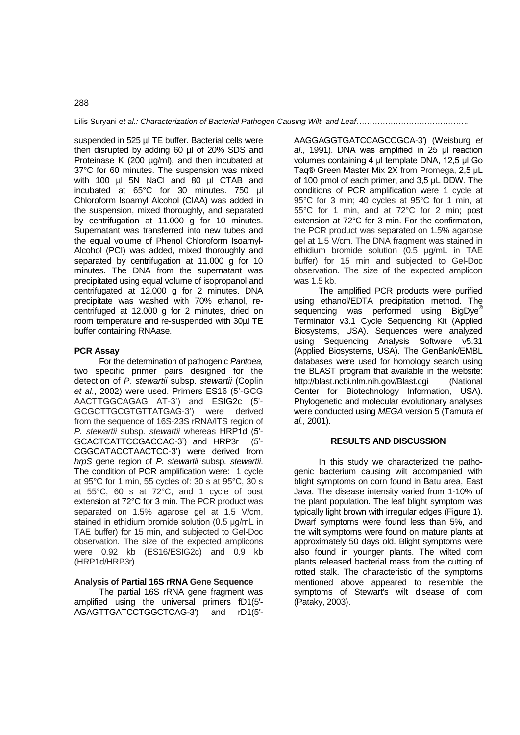suspended in 525 µl TE buffer. Bacterial cells were then disrupted by adding 60 µl of 20% SDS and Proteinase K (200 µg/ml), and then incubated at 37°C for 60 minutes. The suspension was mixed with 100 µl 5N NaCl and 80 µl CTAB and incubated at 65°C for 30 minutes. 750 µl Chloroform Isoamyl Alcohol (CIAA) was added in the suspension, mixed thoroughly, and separated by centrifugation at 11.000 g for 10 minutes. Supernatant was transferred into new tubes and the equal volume of Phenol Chloroform Isoamyl-Alcohol (PCI) was added, mixed thoroughly and separated by centrifugation at 11.000 g for 10 minutes. The DNA from the supernatant was precipitated using equal volume of isopropanol and centrifugated at 12.000 g for 2 minutes. DNA precipitate was washed with 70% ethanol, recentrifuged at 12.000 g for 2 minutes, dried on room temperature and re-suspended with 30µl TE buffer containing RNAase.

#### **PCR Assay**

For the determination of pathogenic *Pantoea,* two specific primer pairs designed for the detection of *P. stewartii* subsp. *stewartii* (Coplin *et al*., 2002) were used. Primers ES16 (5'-GCG AACTTGGCAGAG AT-3') and ESIG2c (5'- GCGCTTGCGTGTTATGAG-3') were derived from the sequence of 16S-23S rRNA/ITS region of *P. stewartii* subsp*. stewartii* whereas HRP1d (5'- GCACTCATTCCGACCAC-3') and HRP3r (5'- CGGCATACCTAACTCC-3') were derived from *hrpS* gene region of *P. stewartii* subsp*. stewartii*. The condition of PCR amplification were: 1 cycle at 95°C for 1 min, 55 cycles of: 30 s at 95°C, 30 s at 55°C, 60 s at 72°C, and 1 cycle of post extension at 72°C for 3 min. The PCR product was separated on 1.5% agarose gel at 1.5 V/cm, stained in ethidium bromide solution (0.5 μg/mL in TAE buffer) for 15 min, and subjected to Gel-Doc observation. The size of the expected amplicons were 0.92 kb (ES16/ESIG2c) and 0.9 kb (HRP1d/HRP3r) .

#### **Analysis of Partial 16S rRNA Gene Sequence**

The partial 16S rRNA gene fragment was amplified using the universal primers fD1(5′- AGAGTTGATCCTGGCTCAG-3′) and rD1(5′-

AAGGAGGTGATCCAGCCGCA-3′) (Weisburg *et al*., 1991). DNA was amplified in 25 μl reaction volumes containing 4 μl template DNA, 12,5 μl Go Taq® Green Master Mix 2X from Promega, 2,5 μL of 100 pmol of each primer, and 3,5 μL DDW. The conditions of PCR amplification were 1 cycle at 95°C for 3 min; 40 cycles at 95°C for 1 min, at 55°C for 1 min, and at 72°C for 2 min; post extension at 72°C for 3 min. For the confirmation, the PCR product was separated on 1.5% agarose gel at 1.5 V/cm. The DNA fragment was stained in ethidium bromide solution (0.5 μg/mL in TAE buffer) for 15 min and subjected to Gel-Doc observation. The size of the expected amplicon was 1.5 kb.

The amplified PCR products were purified using ethanol/EDTA precipitation method. The sequencing was performed using BigDye<sup>®</sup> Terminator v3.1 Cycle Sequencing Kit (Applied Biosystems, USA). Sequences were analyzed using Sequencing Analysis Software v5.31 (Applied Biosystems, USA). The GenBank/EMBL databases were used for homology search using the BLAST program that available in the website: http://blast.ncbi.nlm.nih.gov/Blast.cgi (National Center for Biotechnology Information, USA). Phylogenetic and molecular evolutionary analyses were conducted using *MEGA* version 5 (Tamura *et al.*, 2001).

#### **RESULTS AND DISCUSSION**

In this study we characterized the pathogenic bacterium causing wilt accompanied with blight symptoms on corn found in Batu area, East Java. The disease intensity varied from 1-10% of the plant population. The leaf blight symptom was typically light brown with irregular edges (Figure 1). Dwarf symptoms were found less than 5%, and the wilt symptoms were found on mature plants at approximately 50 days old. Blight symptoms were also found in younger plants. The wilted corn plants released bacterial mass from the cutting of rotted stalk. The characteristic of the symptoms mentioned above appeared to resemble the symptoms of Stewart's wilt disease of corn (Pataky, 2003).

## 288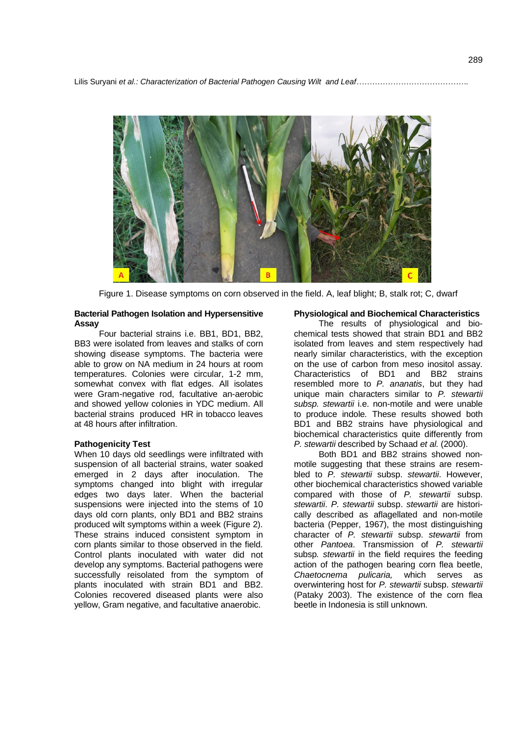

Figure 1. Disease symptoms on corn observed in the field. A, leaf blight; B, stalk rot; C, dwarf

#### **Bacterial Pathogen Isolation and Hypersensitive Assay**

Four bacterial strains i.e. BB1, BD1, BB2, BB3 were isolated from leaves and stalks of corn showing disease symptoms. The bacteria were able to grow on NA medium in 24 hours at room temperatures. Colonies were circular, 1-2 mm, somewhat convex with flat edges. All isolates were Gram-negative rod, facultative an-aerobic and showed yellow colonies in YDC medium. All bacterial strains produced HR in tobacco leaves at 48 hours after infiltration.

#### **Pathogenicity Test**

When 10 days old seedlings were infiltrated with suspension of all bacterial strains, water soaked emerged in 2 days after inoculation. The symptoms changed into blight with irregular edges two days later. When the bacterial suspensions were injected into the stems of 10 days old corn plants, only BD1 and BB2 strains produced wilt symptoms within a week (Figure 2). These strains induced consistent symptom in corn plants similar to those observed in the field. Control plants inoculated with water did not develop any symptoms. Bacterial pathogens were successfully reisolated from the symptom of plants inoculated with strain BD1 and BB2. Colonies recovered diseased plants were also yellow, Gram negative, and facultative anaerobic.

#### **Physiological and Biochemical Characteristics**

The results of physiological and biochemical tests showed that strain BD1 and BB2 isolated from leaves and stem respectively had nearly similar characteristics, with the exception on the use of carbon from meso inositol assay. Characteristics of BD1 and BB2 strains resembled more to *P. ananatis*, but they had unique main characters similar to *P. stewartii subsp. stewartii* i.e. non-motile and were unable to produce indole*.* These results showed both BD1 and BB2 strains have physiological and biochemical characteristics quite differently from *P. stewartii* described by Schaad *et al.* (2000).

Both BD1 and BB2 strains showed nonmotile suggesting that these strains are resembled to *P. stewartii* subsp. *stewartii*. However, other biochemical characteristics showed variable compared with those of *P. stewartii* subsp. *stewartii*. *P. stewartii* subsp. *stewartii* are historically described as aflagellated and non-motile bacteria (Pepper, 1967), the most distinguishing character of *P. stewartii* subsp. *stewartii* from other *Pantoea*. Transmission of *P. stewartii*  subsp*. stewartii* in the field requires the feeding action of the pathogen bearing corn flea beetle, *Chaetocnema pulicaria,* which serves as overwintering host for *P. stewartii* subsp. *stewartii*  (Pataky 2003). The existence of the corn flea beetle in Indonesia is still unknown.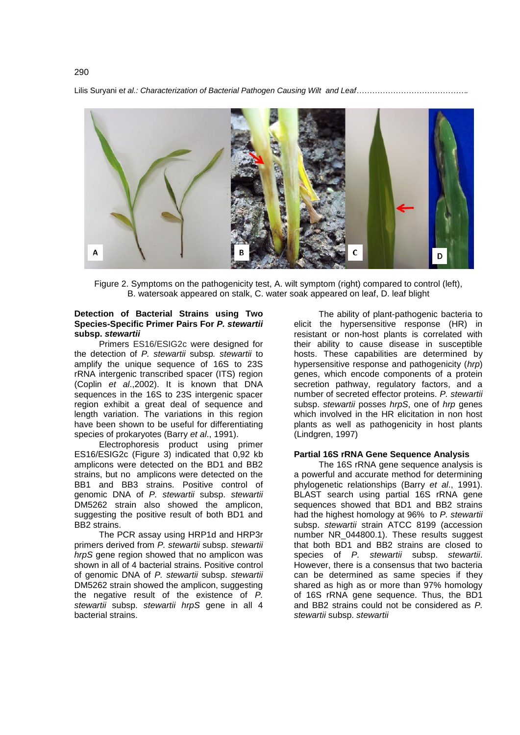

Figure 2. Symptoms on the pathogenicity test, A. wilt symptom (right) compared to control (left), B. watersoak appeared on stalk, C. water soak appeared on leaf, D. leaf blight

## **Detection of Bacterial Strains using Two Species-Specific Primer Pairs For** *P. stewartii*  **subsp.** *stewartii*

Primers ES16/ESIG2c were designed for the detection of *P. stewartii* subsp*. stewartii* to amplify the unique sequence of 16S to 23S rRNA intergenic transcribed spacer (ITS) region (Coplin *et al*.,2002). It is known that DNA sequences in the 16S to 23S intergenic spacer region exhibit a great deal of sequence and length variation. The variations in this region have been shown to be useful for differentiating species of prokaryotes (Barry *et al*., 1991).

Electrophoresis product using primer ES16/ESIG2c (Figure 3) indicated that 0,92 kb amplicons were detected on the BD1 and BB2 strains, but no amplicons were detected on the BB1 and BB3 strains. Positive control of genomic DNA of *P. stewartii* subsp. *stewartii* DM5262 strain also showed the amplicon, suggesting the positive result of both BD1 and BB2 strains.

The PCR assay using HRP1d and HRP3r primers derived from *P. stewartii* subsp. *stewartii hrpS* gene region showed that no amplicon was shown in all of 4 bacterial strains. Positive control of genomic DNA of *P. stewartii* subsp. *stewartii* DM5262 strain showed the amplicon, suggesting the negative result of the existence of *P. stewartii* subsp. *stewartii hrpS* gene in all 4 bacterial strains.

The ability of plant-pathogenic bacteria to elicit the hypersensitive response (HR) in resistant or non-host plants is correlated with their ability to cause disease in susceptible hosts. These capabilities are determined by hypersensitive response and pathogenicity (*hrp*) genes, which encode components of a protein secretion pathway, regulatory factors, and a number of secreted effector proteins. *P. stewartii*  subsp. *stewartii* posses *hrpS*, one of *hrp* genes which involved in the HR elicitation in non host plants as well as pathogenicity in host plants (Lindgren, 1997)

# **Partial 16S rRNA Gene Sequence Analysis**

The 16S rRNA gene sequence analysis is a powerful and accurate method for determining phylogenetic relationships (Barry *et al*., 1991). BLAST search using partial 16S rRNA gene sequences showed that BD1 and BB2 strains had the highest homology at 96% to *P. stewartii*  subsp. *stewartii* strain ATCC 8199 (accession number [NR\\_044800.1\)](http://www.ncbi.nlm.nih.gov/nucleotide/343206208?report=genbank&log$=nuclalign&blast_rank=1&RID=RXG7C9RN01N). These results suggest that both BD1 and BB2 strains are closed to species of *P. stewartii* subsp. *stewartii*. However, there is a consensus that two bacteria can be determined as same species if they shared as high as or more than 97% homology of 16S rRNA gene sequence. Thus, the BD1 and BB2 strains could not be considered as *P. stewartii* subsp. *stewartii*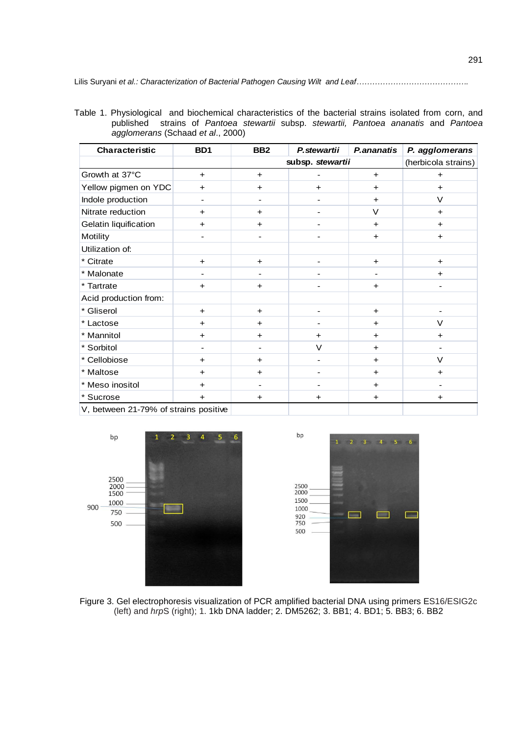Table 1. Physiological and biochemical characteristics of the bacterial strains isolated from corn, and published strains of *Pantoea stewartii* subsp. *stewartii, Pantoea ananatis* and *Pantoea agglomerans* (Schaad *et al*., 2000)

| Characteristic                        | B <sub>D</sub> 1 | BB <sub>2</sub>          | P.ananatis<br>P. stewartii   |           | P. agglomerans |  |
|---------------------------------------|------------------|--------------------------|------------------------------|-----------|----------------|--|
|                                       |                  | subsp. stewartii         | (herbicola strains)          |           |                |  |
| Growth at 37°C                        | $+$              | $+$                      |                              | $+$       | $\ddot{}$      |  |
| Yellow pigmen on YDC                  | $\ddot{}$        | $+$                      | $+$                          | $\ddot{}$ | $\ddot{}$      |  |
| Indole production                     |                  |                          |                              | $\ddot{}$ | V              |  |
| Nitrate reduction                     | $\ddot{}$        | $\ddot{}$                |                              | V         | $\ddot{}$      |  |
| Gelatin liquification                 | $\ddot{}$        | $\ddot{}$                |                              | $\ddot{}$ | $\ddot{}$      |  |
| Motility                              |                  |                          |                              | $\ddot{}$ | $\ddot{}$      |  |
| Utilization of:                       |                  |                          |                              |           |                |  |
| * Citrate                             | $\ddot{}$        | $+$                      | -                            | $+$       | $+$            |  |
| * Malonate                            |                  |                          |                              |           | $\ddot{}$      |  |
| * Tartrate                            | $\ddot{}$        | $\ddot{}$                |                              | $\pm$     |                |  |
| Acid production from:                 |                  |                          |                              |           |                |  |
| * Gliserol                            | $\ddot{}$        | $+$                      |                              | $+$       |                |  |
| * Lactose                             | $\ddot{}$        | $\ddot{}$                |                              | $\ddot{}$ | V              |  |
| * Mannitol                            | $\ddot{}$        | $\ddot{}$                | ٠                            | $\ddot{}$ | $\ddot{}$      |  |
| * Sorbitol                            | ۰                |                          | V                            | $\ddot{}$ |                |  |
| * Cellobiose                          | $+$              | $\ddot{}$                |                              | $\pm$     | $\vee$         |  |
| * Maltose                             | $\ddot{}$        | $\ddot{}$                |                              | $\ddot{}$ | $\ddot{}$      |  |
| * Meso inositol                       | $+$              | $\overline{\phantom{a}}$ | $\qquad \qquad \blacksquare$ | $\ddot{}$ |                |  |
| * Sucrose                             | $\ddot{}$        | $\ddot{}$                | $\ddot{}$                    | $\ddot{}$ | $\ddot{}$      |  |
| V, between 21-79% of strains positive |                  |                          |                              |           |                |  |





Figure 3. Gel electrophoresis visualization of PCR amplified bacterial DNA using primers ES16/ESIG2c (left) and *hrp*S (right); 1. 1kb DNA ladder; 2. DM5262; 3. BB1; 4. BD1; 5. BB3; 6. BB2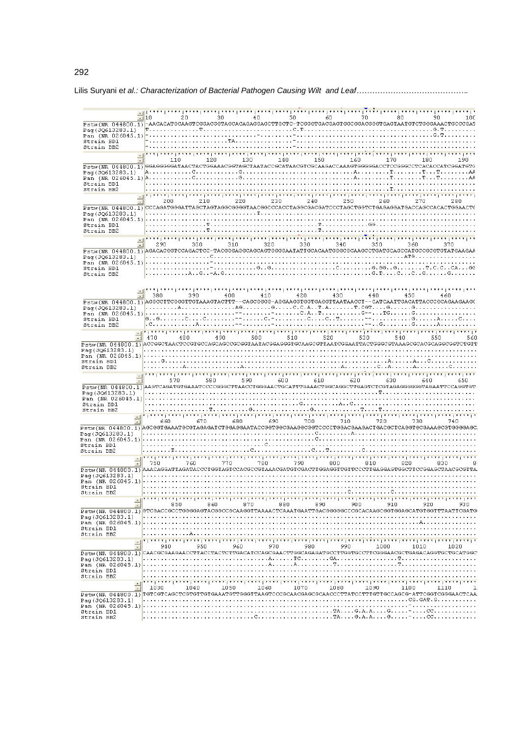| 10 20 30 40 50 60 70 80 90 90 100<br><del>Pstw(NR 044800.1)</del> -AACACATGCAAGTCGGACGGTAGCACAGGGGGGGTGCTC-TCGGGTGACGAGTGGCGGACGGGTAATGTCTGGGAAACTGCCCGAT |                                                                                                                |                                                                                                                                                               |                                                                                                                                                                                                                                 |      |          |                                   |           |           |     |         |          |                                                                                                                                                                                                                                 |          |     |
|-----------------------------------------------------------------------------------------------------------------------------------------------------------|----------------------------------------------------------------------------------------------------------------|---------------------------------------------------------------------------------------------------------------------------------------------------------------|---------------------------------------------------------------------------------------------------------------------------------------------------------------------------------------------------------------------------------|------|----------|-----------------------------------|-----------|-----------|-----|---------|----------|---------------------------------------------------------------------------------------------------------------------------------------------------------------------------------------------------------------------------------|----------|-----|
|                                                                                                                                                           |                                                                                                                |                                                                                                                                                               |                                                                                                                                                                                                                                 |      |          |                                   |           |           |     |         |          |                                                                                                                                                                                                                                 |          |     |
|                                                                                                                                                           |                                                                                                                |                                                                                                                                                               |                                                                                                                                                                                                                                 |      |          |                                   |           |           |     |         |          |                                                                                                                                                                                                                                 |          |     |
| Strain BD1<br>Strain BB2                                                                                                                                  |                                                                                                                |                                                                                                                                                               |                                                                                                                                                                                                                                 |      |          |                                   |           |           |     |         |          |                                                                                                                                                                                                                                 |          |     |
|                                                                                                                                                           |                                                                                                                |                                                                                                                                                               |                                                                                                                                                                                                                                 |      |          |                                   |           |           |     |         |          |                                                                                                                                                                                                                                 |          |     |
|                                                                                                                                                           |                                                                                                                | 110                                                                                                                                                           | 120 - 120 - 120 - 120 - 120 - 120 - 120 - 121 - 121 - 122 - 123 - 124 - 125 - 126 - 127 - 128 - 128 - 128 - 128 - 128 - 128 - 128 - 128 - 128 - 128 - 128 - 128 - 128 - 128 - 128 - 128 - 128 - 128 - 128 - 128 - 128 - 128 - 1 |      |          | 130 140 150 160 170 180           |           |           |     |         |          |                                                                                                                                                                                                                                 |          |     |
| PStw(NR 044800.1)SGAGGGGGATAACTACTGGAAACGGTAGCTAATACCGCATAACGTCGCAAGACCAAAGTGGGGACCTCCGGCCCTCACACCATCGGATGTC                                              |                                                                                                                |                                                                                                                                                               |                                                                                                                                                                                                                                 |      |          |                                   |           |           |     |         |          |                                                                                                                                                                                                                                 |          |     |
|                                                                                                                                                           |                                                                                                                |                                                                                                                                                               |                                                                                                                                                                                                                                 |      |          |                                   |           |           |     |         |          |                                                                                                                                                                                                                                 |          |     |
| Strain BD1                                                                                                                                                |                                                                                                                |                                                                                                                                                               |                                                                                                                                                                                                                                 |      |          |                                   |           |           |     |         |          |                                                                                                                                                                                                                                 |          |     |
| Strain BB2                                                                                                                                                |                                                                                                                |                                                                                                                                                               |                                                                                                                                                                                                                                 |      |          |                                   |           |           |     |         |          |                                                                                                                                                                                                                                 |          |     |
|                                                                                                                                                           | 200                                                                                                            |                                                                                                                                                               | 210 - 10                                                                                                                                                                                                                        |      |          | $220$ $230$ $240$ $250$           |           |           |     |         | 260      | 270 - 270 - 270 - 270 - 270 - 270 - 270 - 270 - 270 - 270 - 270 - 270 - 270 - 270 - 270 - 270 - 270 - 270 - 270 - 270 - 270 - 270 - 270 - 270 - 270 - 270 - 270 - 270 - 270 - 270 - 270 - 270 - 270 - 270 - 270 - 270 - 270 - 2 |          | 280 |
| $\frac{1}{2}$ stw(NR 044800.1) CCCAGATGGGATTAGCTAGTAGGCGGGGTAACGGCCCACCTAGGGGACGATCCCTAGCTGGTCTGAGAGGATGACCACCACTGGAACTG                                  |                                                                                                                |                                                                                                                                                               |                                                                                                                                                                                                                                 |      |          |                                   |           |           |     |         |          |                                                                                                                                                                                                                                 |          |     |
|                                                                                                                                                           |                                                                                                                |                                                                                                                                                               |                                                                                                                                                                                                                                 |      |          |                                   |           |           |     |         |          |                                                                                                                                                                                                                                 |          |     |
| Strain BD1                                                                                                                                                |                                                                                                                |                                                                                                                                                               |                                                                                                                                                                                                                                 |      |          |                                   |           |           |     |         |          |                                                                                                                                                                                                                                 |          |     |
| Strain BB2                                                                                                                                                |                                                                                                                |                                                                                                                                                               |                                                                                                                                                                                                                                 |      |          |                                   |           |           |     |         |          |                                                                                                                                                                                                                                 |          |     |
|                                                                                                                                                           |                                                                                                                | ia da barre la anal anar lanar lanar lang lanar lanar lanar lanar janar lang lanar lanar lanar lanar lanar lan                                                |                                                                                                                                                                                                                                 |      |          |                                   |           |           |     |         |          |                                                                                                                                                                                                                                 |          |     |
| Pstw(NR 044800.1) AGACACGGTCCAGACTCC-TACGGGAGGCAGCAGTGGGGAATATTGCACAATGGGCGCAAGCCTGATGCAGCCATGCCGCGTGTATGAAGAA                                            |                                                                                                                |                                                                                                                                                               | 300 - 100                                                                                                                                                                                                                       |      |          | $310 \t 320 \t 330 \t 340 \t 350$ |           |           |     |         |          | 360 - 100                                                                                                                                                                                                                       |          |     |
|                                                                                                                                                           |                                                                                                                |                                                                                                                                                               |                                                                                                                                                                                                                                 |      |          |                                   |           |           |     |         |          |                                                                                                                                                                                                                                 |          |     |
|                                                                                                                                                           |                                                                                                                |                                                                                                                                                               |                                                                                                                                                                                                                                 |      |          |                                   |           |           |     |         |          |                                                                                                                                                                                                                                 |          |     |
| Strain BD1<br>Strain BB2                                                                                                                                  |                                                                                                                |                                                                                                                                                               |                                                                                                                                                                                                                                 |      |          |                                   |           |           |     |         |          |                                                                                                                                                                                                                                 |          |     |
|                                                                                                                                                           |                                                                                                                |                                                                                                                                                               |                                                                                                                                                                                                                                 |      |          |                                   |           |           |     |         |          |                                                                                                                                                                                                                                 |          |     |
|                                                                                                                                                           |                                                                                                                |                                                                                                                                                               | بمعاقدهما فخفعا فعفعا فمخفا ففعفا فخففا ففعفا فتخف المتمقا فمحف المتحف المتحف المتحف المتحف المقعقاء                                                                                                                            |      |          |                                   |           |           |     |         |          |                                                                                                                                                                                                                                 |          |     |
|                                                                                                                                                           | 380 - 1                                                                                                        |                                                                                                                                                               | 390 400 410 420 430 440 450                                                                                                                                                                                                     |      |          |                                   |           |           |     |         |          |                                                                                                                                                                                                                                 | 460      |     |
| Pstw(NR 044800.1) AGGCCTTCGGGTTGTAAAGTACTTT--CAGCGGGG-AGGAAGGTGGTGAGGTTAATAACCT--CATCAATTGACATTACCCGCAGAAGAAGC                                            |                                                                                                                |                                                                                                                                                               |                                                                                                                                                                                                                                 |      |          |                                   |           |           |     |         |          |                                                                                                                                                                                                                                 |          |     |
|                                                                                                                                                           |                                                                                                                |                                                                                                                                                               |                                                                                                                                                                                                                                 |      |          |                                   |           |           |     |         |          |                                                                                                                                                                                                                                 |          |     |
| Strain BD1                                                                                                                                                |                                                                                                                |                                                                                                                                                               |                                                                                                                                                                                                                                 |      |          |                                   |           |           |     |         |          |                                                                                                                                                                                                                                 |          |     |
| Strain BB2                                                                                                                                                |                                                                                                                |                                                                                                                                                               |                                                                                                                                                                                                                                 |      |          |                                   |           |           |     |         |          |                                                                                                                                                                                                                                 |          |     |
|                                                                                                                                                           | ie innen innen innen innen innen innen innen innen innen innen innen jagen innen innen innen innen innen innen | 480                                                                                                                                                           |                                                                                                                                                                                                                                 |      |          |                                   |           |           |     | 530 540 |          |                                                                                                                                                                                                                                 |          |     |
|                                                                                                                                                           | 470                                                                                                            |                                                                                                                                                               |                                                                                                                                                                                                                                 |      |          | 500 510 520                       |           |           |     |         |          |                                                                                                                                                                                                                                 |          | 560 |
|                                                                                                                                                           |                                                                                                                |                                                                                                                                                               |                                                                                                                                                                                                                                 |      |          |                                   |           |           |     |         |          |                                                                                                                                                                                                                                 |          |     |
| Strain BD1                                                                                                                                                |                                                                                                                |                                                                                                                                                               |                                                                                                                                                                                                                                 |      |          |                                   |           |           |     |         |          |                                                                                                                                                                                                                                 |          |     |
| Strain BB2                                                                                                                                                |                                                                                                                |                                                                                                                                                               |                                                                                                                                                                                                                                 |      |          |                                   |           |           |     |         |          |                                                                                                                                                                                                                                 |          |     |
|                                                                                                                                                           |                                                                                                                | ana laaaa laaaa laaaa laaaa laaaa laaaa laaaa laaaa laaaa laaaa laaaa laaaa laaaa laaaa laaaa laaaa laaaa laa                                                 |                                                                                                                                                                                                                                 |      |          |                                   |           |           |     |         |          |                                                                                                                                                                                                                                 |          |     |
|                                                                                                                                                           |                                                                                                                |                                                                                                                                                               | 580 7                                                                                                                                                                                                                           |      |          | 590 600 610 620                   |           |           |     |         | 630 - 10 |                                                                                                                                                                                                                                 | 640 — 10 |     |
| $\frac{1}{2}$ (NR 044800.1) AAGTCAGATGTGAAATCCCCGGGCTTAACCTGGGAACTGCATTTGAAACTGGCAGGCTTGAGTCTCGTAGAGGGGGTAGAATTCCAGGTGT                                   |                                                                                                                |                                                                                                                                                               |                                                                                                                                                                                                                                 |      |          |                                   |           |           |     |         |          |                                                                                                                                                                                                                                 |          |     |
|                                                                                                                                                           |                                                                                                                |                                                                                                                                                               |                                                                                                                                                                                                                                 |      |          |                                   |           |           |     |         |          |                                                                                                                                                                                                                                 |          |     |
| Strain BD1<br>Strain BB2                                                                                                                                  |                                                                                                                |                                                                                                                                                               |                                                                                                                                                                                                                                 |      |          |                                   |           |           |     |         |          |                                                                                                                                                                                                                                 |          |     |
|                                                                                                                                                           |                                                                                                                | "  ייניין  ייניין  ייניין  ייניין  ייניין  ייניין  ייניין  ייניין  ייניין  ייניין  ייניין  ייניין  ייניין  יינ<br>1070 - 720 730 740<br>107 - 710 720 730 740 |                                                                                                                                                                                                                                 |      |          |                                   |           |           |     |         |          |                                                                                                                                                                                                                                 |          |     |
| Pstw(NR 044800.1) AGCGGTGAAATGCGTAGAGATCTGGAGGAATACCGGTGGCGAAGGCGGTCCCCTGGACGAAGACTGACGCTCAGGTGCGAAAGCGTGGGGAG                                            |                                                                                                                |                                                                                                                                                               |                                                                                                                                                                                                                                 |      |          |                                   |           |           |     |         |          |                                                                                                                                                                                                                                 |          |     |
|                                                                                                                                                           |                                                                                                                |                                                                                                                                                               |                                                                                                                                                                                                                                 |      |          |                                   |           |           |     |         |          |                                                                                                                                                                                                                                 |          |     |
|                                                                                                                                                           |                                                                                                                |                                                                                                                                                               |                                                                                                                                                                                                                                 |      |          |                                   |           |           |     |         |          |                                                                                                                                                                                                                                 |          |     |
| Strain BD1<br>Strain BB2                                                                                                                                  |                                                                                                                |                                                                                                                                                               |                                                                                                                                                                                                                                 |      |          |                                   |           |           |     |         |          |                                                                                                                                                                                                                                 |          |     |
|                                                                                                                                                           |                                                                                                                |                                                                                                                                                               |                                                                                                                                                                                                                                 |      |          |                                   |           |           |     |         |          |                                                                                                                                                                                                                                 |          |     |
|                                                                                                                                                           | 750                                                                                                            |                                                                                                                                                               |                                                                                                                                                                                                                                 | 770  | 780 - 17 |                                   | 790 - 100 | 800 - 100 |     | 810     |          |                                                                                                                                                                                                                                 | 830      |     |
|                                                                                                                                                           |                                                                                                                |                                                                                                                                                               |                                                                                                                                                                                                                                 |      |          |                                   |           |           |     |         |          |                                                                                                                                                                                                                                 |          |     |
|                                                                                                                                                           |                                                                                                                |                                                                                                                                                               |                                                                                                                                                                                                                                 |      |          |                                   |           |           |     |         |          |                                                                                                                                                                                                                                 |          |     |
| Strain BD1                                                                                                                                                |                                                                                                                |                                                                                                                                                               |                                                                                                                                                                                                                                 |      |          |                                   |           |           |     |         |          |                                                                                                                                                                                                                                 |          |     |
| Strain BB2                                                                                                                                                |                                                                                                                |                                                                                                                                                               |                                                                                                                                                                                                                                 |      |          |                                   |           |           |     |         |          |                                                                                                                                                                                                                                 |          |     |
|                                                                                                                                                           |                                                                                                                | 850                                                                                                                                                           | 860                                                                                                                                                                                                                             | 870  |          | 880                               | 890       |           | 900 | 910     |          | 920                                                                                                                                                                                                                             |          | 930 |
| $\overline{\texttt{Pstm}}$ (NR 044800.1) GTCGACCGCCTGGGGAGTACGGCCGCAAGGTTAAAACTCAAATGAATTGACGGGGCCCGCACAAGCGGTGGAGCATGTGGTTTAATTCGATG                     |                                                                                                                |                                                                                                                                                               |                                                                                                                                                                                                                                 |      |          |                                   |           |           |     |         |          |                                                                                                                                                                                                                                 |          |     |
| Pag(JQ613283.1)<br>Pan (NR 026045.1).                                                                                                                     |                                                                                                                |                                                                                                                                                               |                                                                                                                                                                                                                                 |      |          |                                   |           |           |     |         |          |                                                                                                                                                                                                                                 |          |     |
| Strain BD1                                                                                                                                                |                                                                                                                |                                                                                                                                                               |                                                                                                                                                                                                                                 |      |          |                                   |           |           |     |         |          |                                                                                                                                                                                                                                 |          |     |
| Strain BB2                                                                                                                                                |                                                                                                                |                                                                                                                                                               |                                                                                                                                                                                                                                 |      |          |                                   |           |           |     |         |          |                                                                                                                                                                                                                                 |          |     |
|                                                                                                                                                           | 940                                                                                                            |                                                                                                                                                               | 950                                                                                                                                                                                                                             | 960  |          | 970                               | 980       | 990       |     | 1000    |          | 1010                                                                                                                                                                                                                            | 1020     |     |
| $\cdot$<br>$\overline{\texttt{Pstw}}$ (NR 044800.1) CAACGCGAAGAACCTTACCTACTCTTGACATCCAGCGAACTTGGCAGATGCCTTGGTGCCTTCGGGAACGCTGAACAGGTGCTGCATGGC            |                                                                                                                |                                                                                                                                                               |                                                                                                                                                                                                                                 |      |          |                                   |           |           |     |         |          |                                                                                                                                                                                                                                 |          |     |
| Pag(JQ613283.1)                                                                                                                                           |                                                                                                                |                                                                                                                                                               |                                                                                                                                                                                                                                 |      |          |                                   |           |           |     |         |          |                                                                                                                                                                                                                                 |          |     |
| Pan (NR 026045.1).<br>Strain BD1                                                                                                                          |                                                                                                                |                                                                                                                                                               |                                                                                                                                                                                                                                 |      |          |                                   |           |           |     |         |          |                                                                                                                                                                                                                                 |          |     |
| Strain BB2                                                                                                                                                |                                                                                                                |                                                                                                                                                               |                                                                                                                                                                                                                                 |      |          |                                   |           |           |     |         |          |                                                                                                                                                                                                                                 |          |     |
|                                                                                                                                                           |                                                                                                                |                                                                                                                                                               |                                                                                                                                                                                                                                 |      |          |                                   |           |           |     |         |          |                                                                                                                                                                                                                                 |          |     |
| $\overline{\texttt{Pstr}}$ (NR 044800.1) TGTCGTCAGCTCGTGTTGTAATGTTGGGTTAAGTCCCGCAACGAGCGCAACCCTTATCCTTTGTTGCCAGCG-ATTCGGTCGGGAACTCAA                      | 1030                                                                                                           | 1040                                                                                                                                                          |                                                                                                                                                                                                                                 | 1050 | 1060     | 1070                              |           | 1080      |     | 1090    | 1100     |                                                                                                                                                                                                                                 | 1110     |     |
| Pag (JQ613283.1)                                                                                                                                          |                                                                                                                |                                                                                                                                                               |                                                                                                                                                                                                                                 |      |          |                                   |           |           |     |         |          |                                                                                                                                                                                                                                 |          |     |
| Pan (NR 026045.1)                                                                                                                                         |                                                                                                                |                                                                                                                                                               |                                                                                                                                                                                                                                 |      |          |                                   |           |           |     |         |          |                                                                                                                                                                                                                                 |          |     |
| Strain BD1<br>Strain BB2                                                                                                                                  |                                                                                                                |                                                                                                                                                               |                                                                                                                                                                                                                                 |      |          |                                   |           |           |     |         |          |                                                                                                                                                                                                                                 |          |     |
|                                                                                                                                                           |                                                                                                                |                                                                                                                                                               |                                                                                                                                                                                                                                 |      |          |                                   |           |           |     |         |          |                                                                                                                                                                                                                                 |          |     |

# 292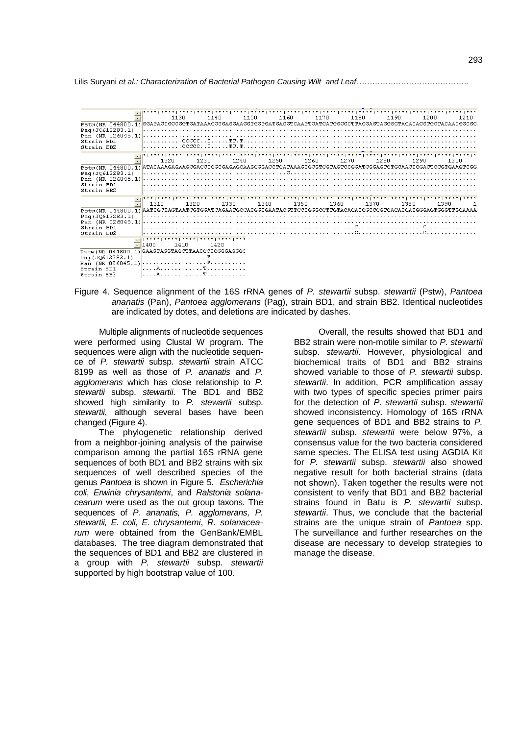Lilis Suryani *et al.: Characterization of Bacterial Pathogen Causing Wilt and Leaf…………………………………….*



Figure 4. Sequence alignment of the 16S rRNA genes of *P. stewartii* subsp. *stewartii* (Pstw), *Pantoea ananatis* (Pan), *Pantoea agglomerans* (Pag), strain BD1, and strain BB2. Identical nucleotides are indicated by dotes, and deletions are indicated by dashes.

Multiple alignments of nucleotide sequences were performed using Clustal W program. The sequences were align with the nucleotide sequence of *P. stewartii* subsp. *stewartii* strain ATCC 8199 as well as those of *P. ananatis* and *P. agglomerans* which has close relationship to *P. stewartii* subsp. *stewartii*. The BD1 and BB2 showed high similarity to *P. stewartii* subsp. *stewartii*, although several bases have been changed (Figure 4).

The phylogenetic relationship derived from a neighbor-joining analysis of the pairwise comparison among the partial 16S rRNA gene sequences of both BD1 and BB2 strains with six sequences of well described species of the genus *Pantoea* is shown in Figure 5. *Escherichia coli*, *Erwinia chrysantemi*, and *Ralstonia solanacearum* were used as the out group taxons. The sequences of *P. ananatis, P. agglomerans, P. stewartii, E. coli*, *E. chrysantemi*, *R. solanacearum* were obtained from the GenBank/EMBL databases. The tree diagram demonstrated that the sequences of BD1 and BB2 are clustered in a group with *P. stewartii* subsp*. stewartii*  supported by high bootstrap value of 100.

Overall, the results showed that BD1 and BB2 strain were non-motile similar to *P. stewartii* subsp. *stewartii*. However, physiological and biochemical traits of BD1 and BB2 strains showed variable to those of *P. stewartii* subsp. *stewartii*. In addition, PCR amplification assay with two types of specific species primer pairs for the detection of *P. stewartii* subsp. *stewartii* showed inconsistency. Homology of 16S rRNA gene sequences of BD1 and BB2 strains to *P. stewartii* subsp. *stewartii* were below 97%, a consensus value for the two bacteria considered same species. The ELISA test using AGDIA Kit for *P. stewartii* subsp. *stewartii* also showed negative result for both bacterial strains (data not shown). Taken together the results were not consistent to verify that BD1 and BB2 bacterial strains found in Batu is *P. stewartii* subsp. *stewartii*. Thus, we conclude that the bacterial strains are the unique strain of *Pantoea* spp. The surveillance and further researches on the disease are necessary to develop strategies to manage the disease.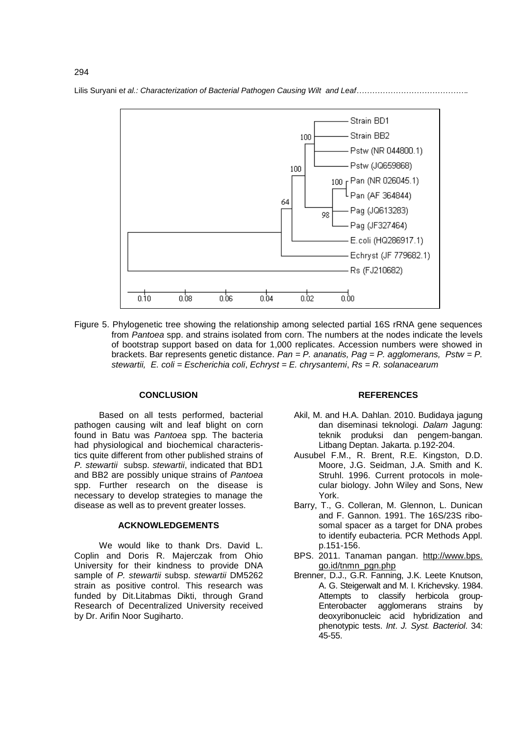

Figure 5. Phylogenetic tree showing the relationship among selected partial 16S rRNA gene sequences from *Pantoea* spp. and strains isolated from corn. The numbers at the nodes indicate the levels of bootstrap support based on data for 1,000 replicates. Accession numbers were showed in brackets. Bar represents genetic distance. *Pan = P. ananatis, Pag = P. agglomerans, Pstw = P. stewartii, E. coli = Escherichia coli*, *Echryst = E. chrysantemi*, *Rs = R. solanacearum*

#### **CONCLUSION**

Based on all tests performed, bacterial pathogen causing wilt and leaf blight on corn found in Batu was *Pantoea* spp*.* The bacteria had physiological and biochemical characteristics quite different from other published strains of *P. stewartii* subsp. *stewartii*, indicated that BD1 and BB2 are possibly unique strains of *Pantoea* spp. Further research on the disease is necessary to develop strategies to manage the disease as well as to prevent greater losses.

## **ACKNOWLEDGEMENTS**

We would like to thank Drs. David L. Coplin and Doris R. Majerczak from Ohio University for their kindness to provide DNA sample of *P. stewartii* subsp. *stewartii* DM5262 strain as positive control. This research was funded by Dit.Litabmas Dikti, through Grand Research of Decentralized University received by Dr. Arifin Noor Sugiharto.

#### **REFERENCES**

- Akil, M. and H.A. Dahlan. 2010. Budidaya jagung dan diseminasi teknologi. *Dalam* Jagung: teknik produksi dan pengem-bangan. Litbang Deptan. Jakarta. p.192-204.
- Ausubel F.M., R. Brent, R.E. Kingston, D.D. Moore, J.G. Seidman, J.A. Smith and K. Struhl. 1996. Current protocols in molecular biology. John Wiley and Sons, New York.
- Barry, T., G. Colleran, M. Glennon, L. Dunican and F. Gannon. 1991. The 16S/23S ribosomal spacer as a target for DNA probes to identify eubacteria. PCR Methods Appl. p.151-156.
- BPS. 2011. Tanaman pangan. http://www.bps. go.id/tnmn\_pgn.php
- Brenner, D.J., G.R. Fanning, J.K. Leete Knutson, A. G. Steigerwalt and M. I. Krichevsky. 1984. Attempts to classify herbicola group-Enterobacter agglomerans strains by deoxyribonucleic acid hybridization and phenotypic tests. *Int*. *J. Syst. Bacteriol*. 34: 45-55.